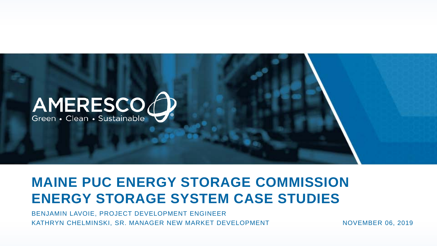

# **MAINE PUC ENERGY STORAGE COMMISSION ENERGY STORAGE SYSTEM CASE STUDIES**

BENJAMIN LAVOIE, PROJECT DEVELOPMENT ENGINEER KATHRYN CHELMINSKI, SR. MANAGER NEW MARKET DEVELOPMENT NOVEMBER 06, 2019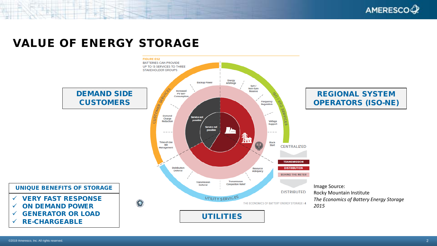AMERESCOQ?

### VALUE OF ENERGY STORAGE

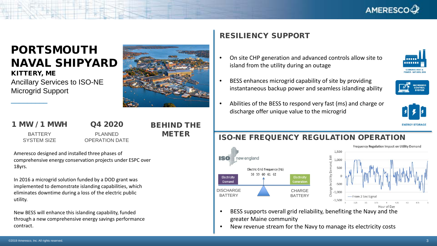

## PORTSMOUTH NAVAL SHIPYARD

KITTERY, ME Ancillary Services to ISO-NE Microgrid Support

#### 1 MW / 1 MWH

\_\_\_\_\_\_\_\_\_

#### Q4 2020

**BATTERY** SYSTEM SIZE

PI ANNED OPERATION DATE

#### BEHIND THE METER

Ameresco designed and installed three phases of comprehensive energy conservation projects under ESPC over 18yrs.

In 2016 a microgrid solution funded by a DOD grant was implemented to demonstrate islanding capabilities, which eliminates downtime during a loss of the electric public utility.

New BESS will enhance this islanding capability, funded through a new comprehensive energy savings performance contract.

#### RESILIENCY SUPPORT

- On site CHP generation and advanced controls allow site to island from the utility during an outage
- BESS enhances microgrid capability of site by providing instantaneous backup power and seamless islanding ability



. . . . . .

• Abilities of the BESS to respond very fast (ms) and charge or discharge offer unique value to the microgrid



#### ISO-NE FREQUENCY REGULATION OPERATION





- BESS supports overall grid reliability, benefiting the Navy and the greater Maine community
- New revenue stream for the Navy to manage its electricity costs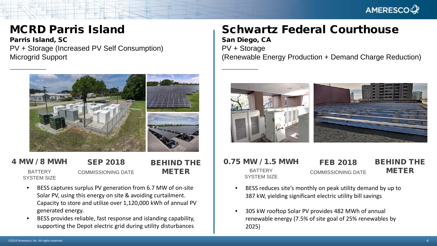

## MCRD Parris Island

Parris Island, SC PV + Storage (Increased PV Self Consumption) Microgrid Support



4 MW / 8 MWH

BATTERY SYSTEM SIZE

SEP 2018 COMMISSIONING DATE BEHIND THE METER

- BESS captures surplus PV generation from 6.7 MW of on-site Solar PV, using this energy on site & avoiding curtailment. Capacity to store and utilize over 1,120,000 kWh of annual PV generated energy.
- BESS provides reliable, fast response and islanding capability, supporting the Depot electric grid during utility disturbances

## Schwartz Federal Courthouse

\_\_\_\_\_\_\_\_\_

San Diego, CA PV + Storage (Renewable Energy Production + Demand Charge Reduction)



#### 0.75 MW / 1.5 MWH BATTERY SYSTEM SIZE BEHIND THE METER FEB 2018 COMMISSIONING DATE

- BESS reduces site's monthly on peak utility demand by up to 387 kW, yielding significant electric utility bill savings
- 305 kW rooftop Solar PV provides 482 MWh of annual renewable energy (7.5% of site goal of 25% renewables by 2025)